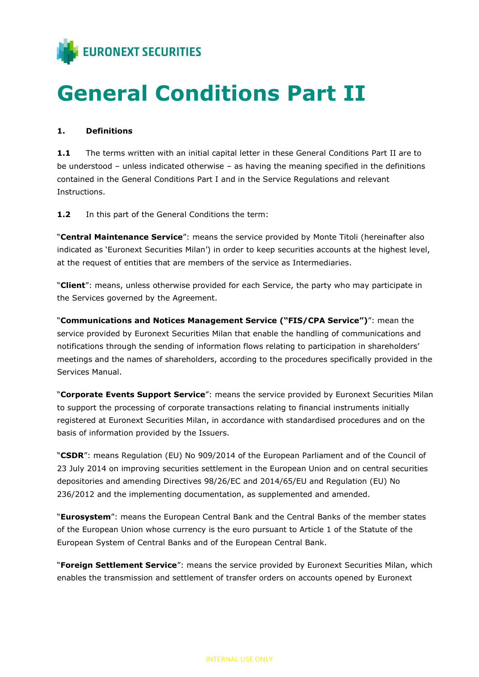

# General Conditions Part II

#### 1. Definitions

1.1 The terms written with an initial capital letter in these General Conditions Part II are to be understood – unless indicated otherwise – as having the meaning specified in the definitions contained in the General Conditions Part I and in the Service Regulations and relevant Instructions.

1.2 In this part of the General Conditions the term:

"Central Maintenance Service": means the service provided by Monte Titoli (hereinafter also indicated as 'Euronext Securities Milan') in order to keep securities accounts at the highest level, at the request of entities that are members of the service as Intermediaries.

"Client": means, unless otherwise provided for each Service, the party who may participate in the Services governed by the Agreement.

"Communications and Notices Management Service ("FIS/CPA Service")": mean the service provided by Euronext Securities Milan that enable the handling of communications and notifications through the sending of information flows relating to participation in shareholders' meetings and the names of shareholders, according to the procedures specifically provided in the Services Manual.

"Corporate Events Support Service": means the service provided by Euronext Securities Milan to support the processing of corporate transactions relating to financial instruments initially registered at Euronext Securities Milan, in accordance with standardised procedures and on the basis of information provided by the Issuers.

"CSDR": means Regulation (EU) No 909/2014 of the European Parliament and of the Council of 23 July 2014 on improving securities settlement in the European Union and on central securities depositories and amending Directives 98/26/EC and 2014/65/EU and Regulation (EU) No 236/2012 and the implementing documentation, as supplemented and amended.

"Eurosystem": means the European Central Bank and the Central Banks of the member states of the European Union whose currency is the euro pursuant to Article 1 of the Statute of the European System of Central Banks and of the European Central Bank.

"Foreign Settlement Service": means the service provided by Euronext Securities Milan, which enables the transmission and settlement of transfer orders on accounts opened by Euronext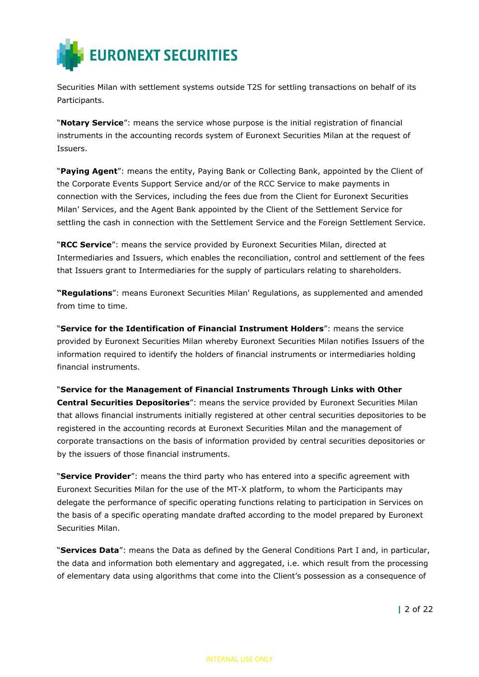

Securities Milan with settlement systems outside T2S for settling transactions on behalf of its Participants.

"Notary Service": means the service whose purpose is the initial registration of financial instruments in the accounting records system of Euronext Securities Milan at the request of Issuers.

"Paying Agent": means the entity, Paying Bank or Collecting Bank, appointed by the Client of the Corporate Events Support Service and/or of the RCC Service to make payments in connection with the Services, including the fees due from the Client for Euronext Securities Milan' Services, and the Agent Bank appointed by the Client of the Settlement Service for settling the cash in connection with the Settlement Service and the Foreign Settlement Service.

"RCC Service": means the service provided by Euronext Securities Milan, directed at Intermediaries and Issuers, which enables the reconciliation, control and settlement of the fees that Issuers grant to Intermediaries for the supply of particulars relating to shareholders.

"Regulations": means Euronext Securities Milan' Regulations, as supplemented and amended from time to time.

"Service for the Identification of Financial Instrument Holders": means the service provided by Euronext Securities Milan whereby Euronext Securities Milan notifies Issuers of the information required to identify the holders of financial instruments or intermediaries holding financial instruments.

"Service for the Management of Financial Instruments Through Links with Other Central Securities Depositories": means the service provided by Euronext Securities Milan that allows financial instruments initially registered at other central securities depositories to be registered in the accounting records at Euronext Securities Milan and the management of corporate transactions on the basis of information provided by central securities depositories or by the issuers of those financial instruments.

"Service Provider": means the third party who has entered into a specific agreement with Euronext Securities Milan for the use of the MT-X platform, to whom the Participants may delegate the performance of specific operating functions relating to participation in Services on the basis of a specific operating mandate drafted according to the model prepared by Euronext Securities Milan.

"Services Data": means the Data as defined by the General Conditions Part I and, in particular, the data and information both elementary and aggregated, i.e. which result from the processing of elementary data using algorithms that come into the Client's possession as a consequence of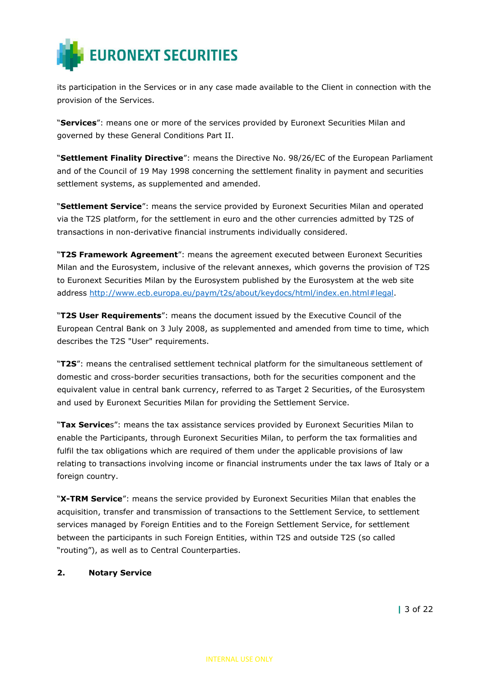

its participation in the Services or in any case made available to the Client in connection with the provision of the Services.

"Services": means one or more of the services provided by Euronext Securities Milan and governed by these General Conditions Part II.

"Settlement Finality Directive": means the Directive No. 98/26/EC of the European Parliament and of the Council of 19 May 1998 concerning the settlement finality in payment and securities settlement systems, as supplemented and amended.

"Settlement Service": means the service provided by Euronext Securities Milan and operated via the T2S platform, for the settlement in euro and the other currencies admitted by T2S of transactions in non-derivative financial instruments individually considered.

**"T2S Framework Agreement**": means the agreement executed between Euronext Securities Milan and the Eurosystem, inclusive of the relevant annexes, which governs the provision of T2S to Euronext Securities Milan by the Eurosystem published by the Eurosystem at the web site address http://www.ecb.europa.eu/paym/t2s/about/keydocs/html/index.en.html#legal.

"T2S User Requirements": means the document issued by the Executive Council of the European Central Bank on 3 July 2008, as supplemented and amended from time to time, which describes the T2S "User" requirements.

"T2S": means the centralised settlement technical platform for the simultaneous settlement of domestic and cross-border securities transactions, both for the securities component and the equivalent value in central bank currency, referred to as Target 2 Securities, of the Eurosystem and used by Euronext Securities Milan for providing the Settlement Service.

"Tax Services": means the tax assistance services provided by Euronext Securities Milan to enable the Participants, through Euronext Securities Milan, to perform the tax formalities and fulfil the tax obligations which are required of them under the applicable provisions of law relating to transactions involving income or financial instruments under the tax laws of Italy or a foreign country.

"X-TRM Service": means the service provided by Euronext Securities Milan that enables the acquisition, transfer and transmission of transactions to the Settlement Service, to settlement services managed by Foreign Entities and to the Foreign Settlement Service, for settlement between the participants in such Foreign Entities, within T2S and outside T2S (so called "routing"), as well as to Central Counterparties.

#### 2. Notary Service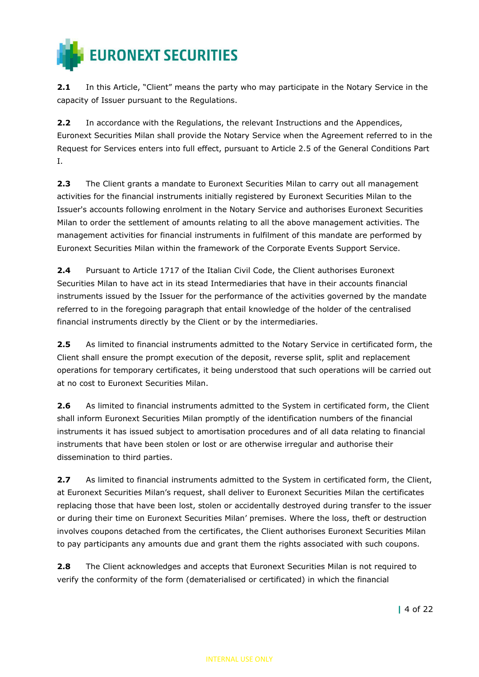

2.1 In this Article, "Client" means the party who may participate in the Notary Service in the capacity of Issuer pursuant to the Regulations.

2.2 In accordance with the Regulations, the relevant Instructions and the Appendices, Euronext Securities Milan shall provide the Notary Service when the Agreement referred to in the Request for Services enters into full effect, pursuant to Article 2.5 of the General Conditions Part I.

2.3 The Client grants a mandate to Euronext Securities Milan to carry out all management activities for the financial instruments initially registered by Euronext Securities Milan to the Issuer's accounts following enrolment in the Notary Service and authorises Euronext Securities Milan to order the settlement of amounts relating to all the above management activities. The management activities for financial instruments in fulfilment of this mandate are performed by Euronext Securities Milan within the framework of the Corporate Events Support Service.

**2.4** Pursuant to Article 1717 of the Italian Civil Code, the Client authorises Euronext Securities Milan to have act in its stead Intermediaries that have in their accounts financial instruments issued by the Issuer for the performance of the activities governed by the mandate referred to in the foregoing paragraph that entail knowledge of the holder of the centralised financial instruments directly by the Client or by the intermediaries.

2.5 As limited to financial instruments admitted to the Notary Service in certificated form, the Client shall ensure the prompt execution of the deposit, reverse split, split and replacement operations for temporary certificates, it being understood that such operations will be carried out at no cost to Euronext Securities Milan.

2.6 As limited to financial instruments admitted to the System in certificated form, the Client shall inform Euronext Securities Milan promptly of the identification numbers of the financial instruments it has issued subject to amortisation procedures and of all data relating to financial instruments that have been stolen or lost or are otherwise irregular and authorise their dissemination to third parties.

2.7 As limited to financial instruments admitted to the System in certificated form, the Client, at Euronext Securities Milan's request, shall deliver to Euronext Securities Milan the certificates replacing those that have been lost, stolen or accidentally destroyed during transfer to the issuer or during their time on Euronext Securities Milan' premises. Where the loss, theft or destruction involves coupons detached from the certificates, the Client authorises Euronext Securities Milan to pay participants any amounts due and grant them the rights associated with such coupons.

2.8 The Client acknowledges and accepts that Euronext Securities Milan is not required to verify the conformity of the form (dematerialised or certificated) in which the financial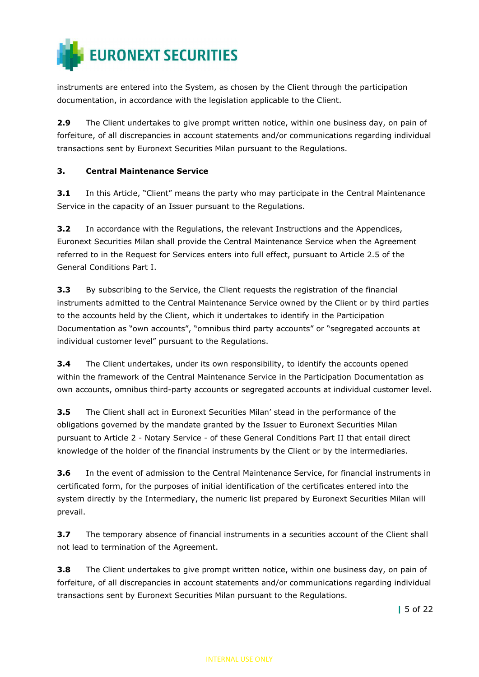

instruments are entered into the System, as chosen by the Client through the participation documentation, in accordance with the legislation applicable to the Client.

2.9 The Client undertakes to give prompt written notice, within one business day, on pain of forfeiture, of all discrepancies in account statements and/or communications regarding individual transactions sent by Euronext Securities Milan pursuant to the Regulations.

### 3. Central Maintenance Service

**3.1** In this Article, "Client" means the party who may participate in the Central Maintenance Service in the capacity of an Issuer pursuant to the Regulations.

**3.2** In accordance with the Regulations, the relevant Instructions and the Appendices, Euronext Securities Milan shall provide the Central Maintenance Service when the Agreement referred to in the Request for Services enters into full effect, pursuant to Article 2.5 of the General Conditions Part I.

**3.3** By subscribing to the Service, the Client requests the registration of the financial instruments admitted to the Central Maintenance Service owned by the Client or by third parties to the accounts held by the Client, which it undertakes to identify in the Participation Documentation as "own accounts", "omnibus third party accounts" or "segregated accounts at individual customer level" pursuant to the Regulations.

**3.4** The Client undertakes, under its own responsibility, to identify the accounts opened within the framework of the Central Maintenance Service in the Participation Documentation as own accounts, omnibus third-party accounts or segregated accounts at individual customer level.

3.5 The Client shall act in Euronext Securities Milan' stead in the performance of the obligations governed by the mandate granted by the Issuer to Euronext Securities Milan pursuant to Article 2 - Notary Service - of these General Conditions Part II that entail direct knowledge of the holder of the financial instruments by the Client or by the intermediaries.

**3.6** In the event of admission to the Central Maintenance Service, for financial instruments in certificated form, for the purposes of initial identification of the certificates entered into the system directly by the Intermediary, the numeric list prepared by Euronext Securities Milan will prevail.

**3.7** The temporary absence of financial instruments in a securities account of the Client shall not lead to termination of the Agreement.

3.8 The Client undertakes to give prompt written notice, within one business day, on pain of forfeiture, of all discrepancies in account statements and/or communications regarding individual transactions sent by Euronext Securities Milan pursuant to the Regulations.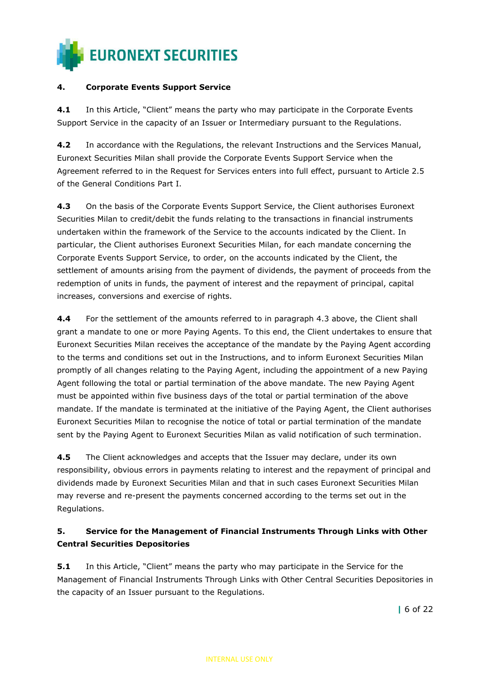

#### 4. Corporate Events Support Service

4.1 In this Article, "Client" means the party who may participate in the Corporate Events Support Service in the capacity of an Issuer or Intermediary pursuant to the Regulations.

4.2 In accordance with the Regulations, the relevant Instructions and the Services Manual, Euronext Securities Milan shall provide the Corporate Events Support Service when the Agreement referred to in the Request for Services enters into full effect, pursuant to Article 2.5 of the General Conditions Part I.

4.3 On the basis of the Corporate Events Support Service, the Client authorises Euronext Securities Milan to credit/debit the funds relating to the transactions in financial instruments undertaken within the framework of the Service to the accounts indicated by the Client. In particular, the Client authorises Euronext Securities Milan, for each mandate concerning the Corporate Events Support Service, to order, on the accounts indicated by the Client, the settlement of amounts arising from the payment of dividends, the payment of proceeds from the redemption of units in funds, the payment of interest and the repayment of principal, capital increases, conversions and exercise of rights.

4.4 For the settlement of the amounts referred to in paragraph 4.3 above, the Client shall grant a mandate to one or more Paying Agents. To this end, the Client undertakes to ensure that Euronext Securities Milan receives the acceptance of the mandate by the Paying Agent according to the terms and conditions set out in the Instructions, and to inform Euronext Securities Milan promptly of all changes relating to the Paying Agent, including the appointment of a new Paying Agent following the total or partial termination of the above mandate. The new Paying Agent must be appointed within five business days of the total or partial termination of the above mandate. If the mandate is terminated at the initiative of the Paying Agent, the Client authorises Euronext Securities Milan to recognise the notice of total or partial termination of the mandate sent by the Paying Agent to Euronext Securities Milan as valid notification of such termination.

4.5 The Client acknowledges and accepts that the Issuer may declare, under its own responsibility, obvious errors in payments relating to interest and the repayment of principal and dividends made by Euronext Securities Milan and that in such cases Euronext Securities Milan may reverse and re-present the payments concerned according to the terms set out in the Regulations.

## 5. Service for the Management of Financial Instruments Through Links with Other Central Securities Depositories

**5.1** In this Article, "Client" means the party who may participate in the Service for the Management of Financial Instruments Through Links with Other Central Securities Depositories in the capacity of an Issuer pursuant to the Regulations.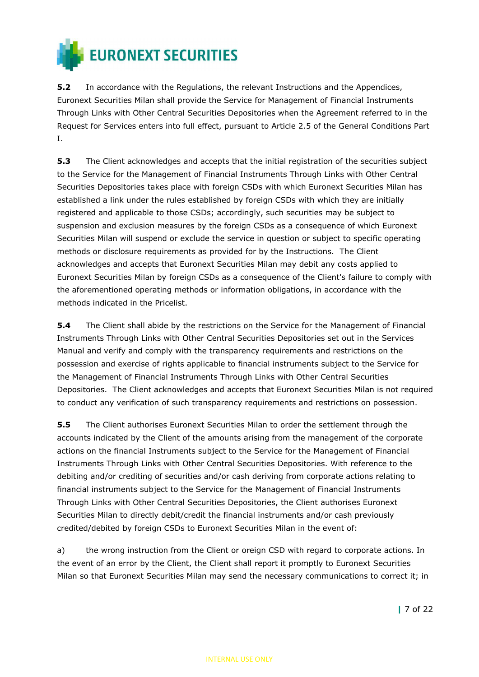

**5.2** In accordance with the Regulations, the relevant Instructions and the Appendices, Euronext Securities Milan shall provide the Service for Management of Financial Instruments Through Links with Other Central Securities Depositories when the Agreement referred to in the Request for Services enters into full effect, pursuant to Article 2.5 of the General Conditions Part I.

**5.3** The Client acknowledges and accepts that the initial registration of the securities subject to the Service for the Management of Financial Instruments Through Links with Other Central Securities Depositories takes place with foreign CSDs with which Euronext Securities Milan has established a link under the rules established by foreign CSDs with which they are initially registered and applicable to those CSDs; accordingly, such securities may be subject to suspension and exclusion measures by the foreign CSDs as a consequence of which Euronext Securities Milan will suspend or exclude the service in question or subject to specific operating methods or disclosure requirements as provided for by the Instructions. The Client acknowledges and accepts that Euronext Securities Milan may debit any costs applied to Euronext Securities Milan by foreign CSDs as a consequence of the Client's failure to comply with the aforementioned operating methods or information obligations, in accordance with the methods indicated in the Pricelist.

**5.4** The Client shall abide by the restrictions on the Service for the Management of Financial Instruments Through Links with Other Central Securities Depositories set out in the Services Manual and verify and comply with the transparency requirements and restrictions on the possession and exercise of rights applicable to financial instruments subject to the Service for the Management of Financial Instruments Through Links with Other Central Securities Depositories. The Client acknowledges and accepts that Euronext Securities Milan is not required to conduct any verification of such transparency requirements and restrictions on possession.

**5.5** The Client authorises Euronext Securities Milan to order the settlement through the accounts indicated by the Client of the amounts arising from the management of the corporate actions on the financial Instruments subject to the Service for the Management of Financial Instruments Through Links with Other Central Securities Depositories. With reference to the debiting and/or crediting of securities and/or cash deriving from corporate actions relating to financial instruments subject to the Service for the Management of Financial Instruments Through Links with Other Central Securities Depositories, the Client authorises Euronext Securities Milan to directly debit/credit the financial instruments and/or cash previously credited/debited by foreign CSDs to Euronext Securities Milan in the event of:

a) the wrong instruction from the Client or oreign CSD with regard to corporate actions. In the event of an error by the Client, the Client shall report it promptly to Euronext Securities Milan so that Euronext Securities Milan may send the necessary communications to correct it; in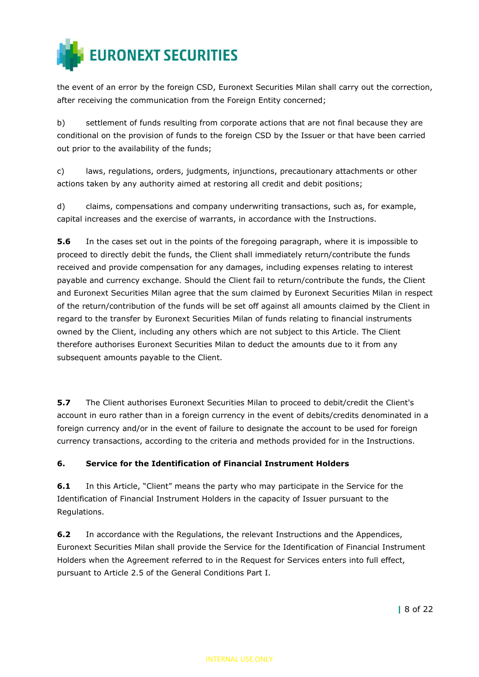

the event of an error by the foreign CSD, Euronext Securities Milan shall carry out the correction, after receiving the communication from the Foreign Entity concerned;

b) settlement of funds resulting from corporate actions that are not final because they are conditional on the provision of funds to the foreign CSD by the Issuer or that have been carried out prior to the availability of the funds;

c) laws, regulations, orders, judgments, injunctions, precautionary attachments or other actions taken by any authority aimed at restoring all credit and debit positions;

d) claims, compensations and company underwriting transactions, such as, for example, capital increases and the exercise of warrants, in accordance with the Instructions.

**5.6** In the cases set out in the points of the foregoing paragraph, where it is impossible to proceed to directly debit the funds, the Client shall immediately return/contribute the funds received and provide compensation for any damages, including expenses relating to interest payable and currency exchange. Should the Client fail to return/contribute the funds, the Client and Euronext Securities Milan agree that the sum claimed by Euronext Securities Milan in respect of the return/contribution of the funds will be set off against all amounts claimed by the Client in regard to the transfer by Euronext Securities Milan of funds relating to financial instruments owned by the Client, including any others which are not subject to this Article. The Client therefore authorises Euronext Securities Milan to deduct the amounts due to it from any subsequent amounts payable to the Client.

**5.7** The Client authorises Euronext Securities Milan to proceed to debit/credit the Client's account in euro rather than in a foreign currency in the event of debits/credits denominated in a foreign currency and/or in the event of failure to designate the account to be used for foreign currency transactions, according to the criteria and methods provided for in the Instructions.

#### 6. Service for the Identification of Financial Instrument Holders

6.1 In this Article, "Client" means the party who may participate in the Service for the Identification of Financial Instrument Holders in the capacity of Issuer pursuant to the Regulations.

**6.2** In accordance with the Regulations, the relevant Instructions and the Appendices, Euronext Securities Milan shall provide the Service for the Identification of Financial Instrument Holders when the Agreement referred to in the Request for Services enters into full effect, pursuant to Article 2.5 of the General Conditions Part I.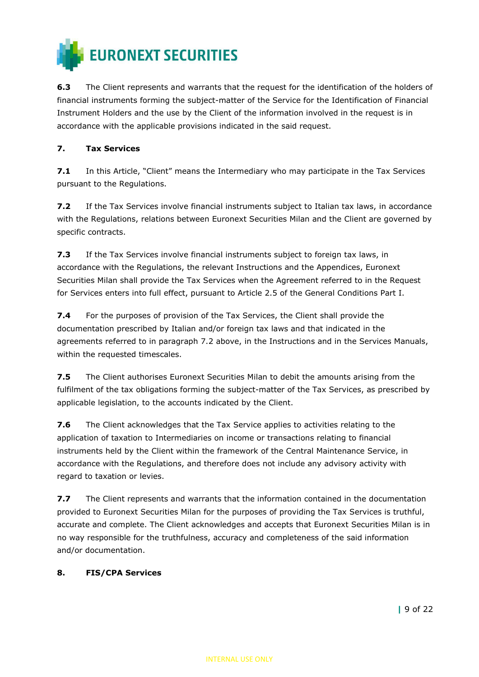

6.3 The Client represents and warrants that the request for the identification of the holders of financial instruments forming the subject-matter of the Service for the Identification of Financial Instrument Holders and the use by the Client of the information involved in the request is in accordance with the applicable provisions indicated in the said request.

#### 7. Tax Services

7.1 In this Article, "Client" means the Intermediary who may participate in the Tax Services pursuant to the Regulations.

7.2 If the Tax Services involve financial instruments subject to Italian tax laws, in accordance with the Regulations, relations between Euronext Securities Milan and the Client are governed by specific contracts.

**7.3** If the Tax Services involve financial instruments subject to foreign tax laws, in accordance with the Regulations, the relevant Instructions and the Appendices, Euronext Securities Milan shall provide the Tax Services when the Agreement referred to in the Request for Services enters into full effect, pursuant to Article 2.5 of the General Conditions Part I.

7.4 For the purposes of provision of the Tax Services, the Client shall provide the documentation prescribed by Italian and/or foreign tax laws and that indicated in the agreements referred to in paragraph 7.2 above, in the Instructions and in the Services Manuals, within the requested timescales.

**7.5** The Client authorises Euronext Securities Milan to debit the amounts arising from the fulfilment of the tax obligations forming the subject-matter of the Tax Services, as prescribed by applicable legislation, to the accounts indicated by the Client.

7.6 The Client acknowledges that the Tax Service applies to activities relating to the application of taxation to Intermediaries on income or transactions relating to financial instruments held by the Client within the framework of the Central Maintenance Service, in accordance with the Regulations, and therefore does not include any advisory activity with regard to taxation or levies.

7.7 The Client represents and warrants that the information contained in the documentation provided to Euronext Securities Milan for the purposes of providing the Tax Services is truthful, accurate and complete. The Client acknowledges and accepts that Euronext Securities Milan is in no way responsible for the truthfulness, accuracy and completeness of the said information and/or documentation.

#### 8. FIS/CPA Services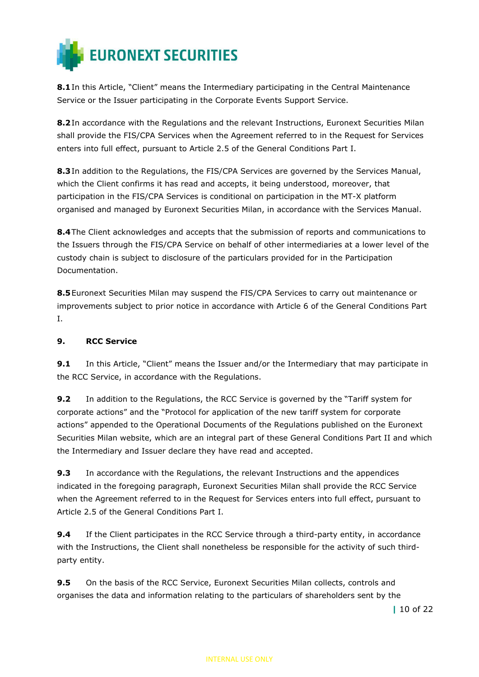

8.1 In this Article, "Client" means the Intermediary participating in the Central Maintenance Service or the Issuer participating in the Corporate Events Support Service.

8.2In accordance with the Regulations and the relevant Instructions, Euronext Securities Milan shall provide the FIS/CPA Services when the Agreement referred to in the Request for Services enters into full effect, pursuant to Article 2.5 of the General Conditions Part I.

8.3 In addition to the Regulations, the FIS/CPA Services are governed by the Services Manual, which the Client confirms it has read and accepts, it being understood, moreover, that participation in the FIS/CPA Services is conditional on participation in the MT-X platform organised and managed by Euronext Securities Milan, in accordance with the Services Manual.

8.4 The Client acknowledges and accepts that the submission of reports and communications to the Issuers through the FIS/CPA Service on behalf of other intermediaries at a lower level of the custody chain is subject to disclosure of the particulars provided for in the Participation Documentation.

8.5 Euronext Securities Milan may suspend the FIS/CPA Services to carry out maintenance or improvements subject to prior notice in accordance with Article 6 of the General Conditions Part I.

## 9. RCC Service

9.1 In this Article, "Client" means the Issuer and/or the Intermediary that may participate in the RCC Service, in accordance with the Regulations.

9.2 In addition to the Regulations, the RCC Service is governed by the "Tariff system for corporate actions" and the "Protocol for application of the new tariff system for corporate actions" appended to the Operational Documents of the Regulations published on the Euronext Securities Milan website, which are an integral part of these General Conditions Part II and which the Intermediary and Issuer declare they have read and accepted.

**9.3** In accordance with the Regulations, the relevant Instructions and the appendices indicated in the foregoing paragraph, Euronext Securities Milan shall provide the RCC Service when the Agreement referred to in the Request for Services enters into full effect, pursuant to Article 2.5 of the General Conditions Part I.

**9.4** If the Client participates in the RCC Service through a third-party entity, in accordance with the Instructions, the Client shall nonetheless be responsible for the activity of such thirdparty entity.

**9.5** On the basis of the RCC Service, Euronext Securities Milan collects, controls and organises the data and information relating to the particulars of shareholders sent by the

| 10 of 22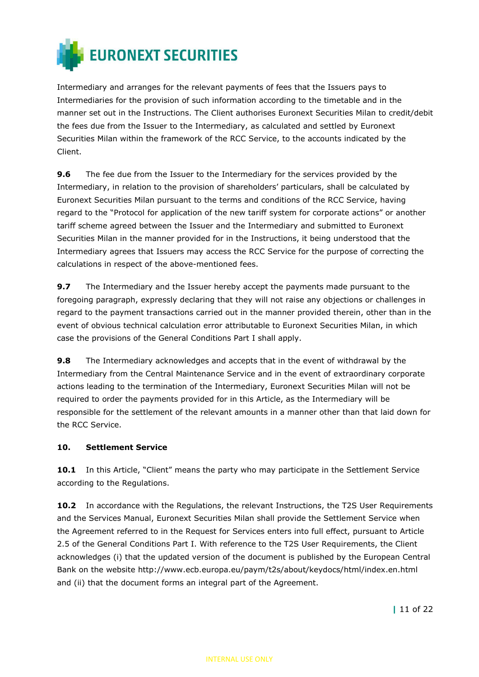

Intermediary and arranges for the relevant payments of fees that the Issuers pays to Intermediaries for the provision of such information according to the timetable and in the manner set out in the Instructions. The Client authorises Euronext Securities Milan to credit/debit the fees due from the Issuer to the Intermediary, as calculated and settled by Euronext Securities Milan within the framework of the RCC Service, to the accounts indicated by the Client.

**9.6** The fee due from the Issuer to the Intermediary for the services provided by the Intermediary, in relation to the provision of shareholders' particulars, shall be calculated by Euronext Securities Milan pursuant to the terms and conditions of the RCC Service, having regard to the "Protocol for application of the new tariff system for corporate actions" or another tariff scheme agreed between the Issuer and the Intermediary and submitted to Euronext Securities Milan in the manner provided for in the Instructions, it being understood that the Intermediary agrees that Issuers may access the RCC Service for the purpose of correcting the calculations in respect of the above-mentioned fees.

9.7 The Intermediary and the Issuer hereby accept the payments made pursuant to the foregoing paragraph, expressly declaring that they will not raise any objections or challenges in regard to the payment transactions carried out in the manner provided therein, other than in the event of obvious technical calculation error attributable to Euronext Securities Milan, in which case the provisions of the General Conditions Part I shall apply.

**9.8** The Intermediary acknowledges and accepts that in the event of withdrawal by the Intermediary from the Central Maintenance Service and in the event of extraordinary corporate actions leading to the termination of the Intermediary, Euronext Securities Milan will not be required to order the payments provided for in this Article, as the Intermediary will be responsible for the settlement of the relevant amounts in a manner other than that laid down for the RCC Service.

#### 10. Settlement Service

10.1 In this Article, "Client" means the party who may participate in the Settlement Service according to the Regulations.

10.2 In accordance with the Regulations, the relevant Instructions, the T2S User Requirements and the Services Manual, Euronext Securities Milan shall provide the Settlement Service when the Agreement referred to in the Request for Services enters into full effect, pursuant to Article 2.5 of the General Conditions Part I. With reference to the T2S User Requirements, the Client acknowledges (i) that the updated version of the document is published by the European Central Bank on the website http://www.ecb.europa.eu/paym/t2s/about/keydocs/html/index.en.html and (ii) that the document forms an integral part of the Agreement.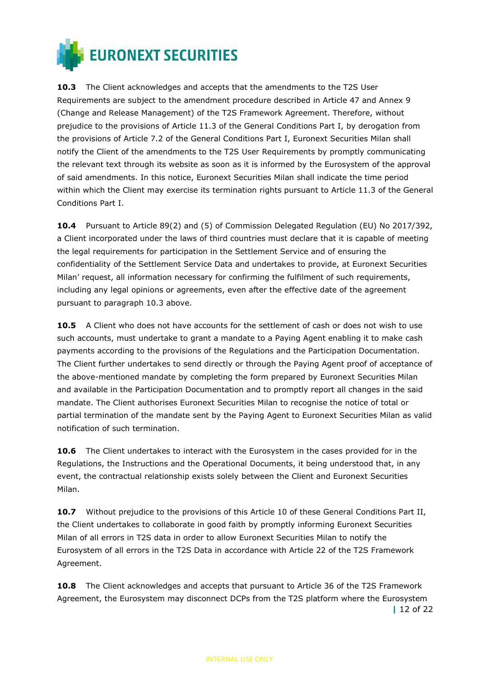

10.3 The Client acknowledges and accepts that the amendments to the T2S User Requirements are subject to the amendment procedure described in Article 47 and Annex 9 (Change and Release Management) of the T2S Framework Agreement. Therefore, without prejudice to the provisions of Article 11.3 of the General Conditions Part I, by derogation from the provisions of Article 7.2 of the General Conditions Part I, Euronext Securities Milan shall notify the Client of the amendments to the T2S User Requirements by promptly communicating the relevant text through its website as soon as it is informed by the Eurosystem of the approval of said amendments. In this notice, Euronext Securities Milan shall indicate the time period within which the Client may exercise its termination rights pursuant to Article 11.3 of the General Conditions Part I.

10.4 Pursuant to Article 89(2) and (5) of Commission Delegated Regulation (EU) No 2017/392, a Client incorporated under the laws of third countries must declare that it is capable of meeting the legal requirements for participation in the Settlement Service and of ensuring the confidentiality of the Settlement Service Data and undertakes to provide, at Euronext Securities Milan' request, all information necessary for confirming the fulfilment of such requirements, including any legal opinions or agreements, even after the effective date of the agreement pursuant to paragraph 10.3 above.

10.5 A Client who does not have accounts for the settlement of cash or does not wish to use such accounts, must undertake to grant a mandate to a Paying Agent enabling it to make cash payments according to the provisions of the Regulations and the Participation Documentation. The Client further undertakes to send directly or through the Paying Agent proof of acceptance of the above-mentioned mandate by completing the form prepared by Euronext Securities Milan and available in the Participation Documentation and to promptly report all changes in the said mandate. The Client authorises Euronext Securities Milan to recognise the notice of total or partial termination of the mandate sent by the Paying Agent to Euronext Securities Milan as valid notification of such termination.

10.6 The Client undertakes to interact with the Eurosystem in the cases provided for in the Regulations, the Instructions and the Operational Documents, it being understood that, in any event, the contractual relationship exists solely between the Client and Euronext Securities Milan.

10.7 Without prejudice to the provisions of this Article 10 of these General Conditions Part II, the Client undertakes to collaborate in good faith by promptly informing Euronext Securities Milan of all errors in T2S data in order to allow Euronext Securities Milan to notify the Eurosystem of all errors in the T2S Data in accordance with Article 22 of the T2S Framework Agreement.

| 12 of 22 **10.8** The Client acknowledges and accepts that pursuant to Article 36 of the T2S Framework Agreement, the Eurosystem may disconnect DCPs from the T2S platform where the Eurosystem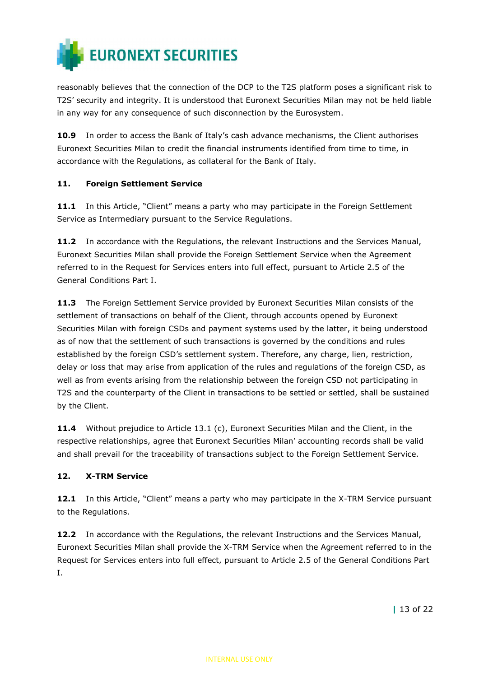

reasonably believes that the connection of the DCP to the T2S platform poses a significant risk to T2S' security and integrity. It is understood that Euronext Securities Milan may not be held liable in any way for any consequence of such disconnection by the Eurosystem.

10.9 In order to access the Bank of Italy's cash advance mechanisms, the Client authorises Euronext Securities Milan to credit the financial instruments identified from time to time, in accordance with the Regulations, as collateral for the Bank of Italy.

#### 11. Foreign Settlement Service

11.1 In this Article, "Client" means a party who may participate in the Foreign Settlement Service as Intermediary pursuant to the Service Regulations.

11.2 In accordance with the Regulations, the relevant Instructions and the Services Manual, Euronext Securities Milan shall provide the Foreign Settlement Service when the Agreement referred to in the Request for Services enters into full effect, pursuant to Article 2.5 of the General Conditions Part I.

11.3 The Foreign Settlement Service provided by Euronext Securities Milan consists of the settlement of transactions on behalf of the Client, through accounts opened by Euronext Securities Milan with foreign CSDs and payment systems used by the latter, it being understood as of now that the settlement of such transactions is governed by the conditions and rules established by the foreign CSD's settlement system. Therefore, any charge, lien, restriction, delay or loss that may arise from application of the rules and regulations of the foreign CSD, as well as from events arising from the relationship between the foreign CSD not participating in T2S and the counterparty of the Client in transactions to be settled or settled, shall be sustained by the Client.

11.4 Without prejudice to Article 13.1 (c), Euronext Securities Milan and the Client, in the respective relationships, agree that Euronext Securities Milan' accounting records shall be valid and shall prevail for the traceability of transactions subject to the Foreign Settlement Service.

## 12. X-TRM Service

12.1 In this Article, "Client" means a party who may participate in the X-TRM Service pursuant to the Regulations.

**12.2** In accordance with the Regulations, the relevant Instructions and the Services Manual, Euronext Securities Milan shall provide the X-TRM Service when the Agreement referred to in the Request for Services enters into full effect, pursuant to Article 2.5 of the General Conditions Part I.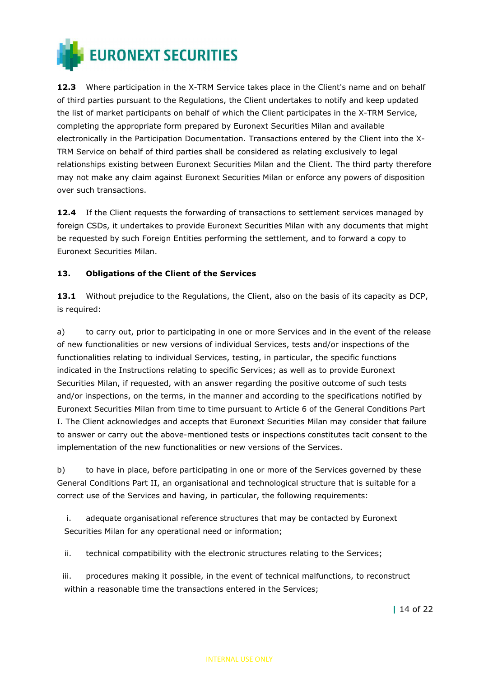

12.3 Where participation in the X-TRM Service takes place in the Client's name and on behalf of third parties pursuant to the Regulations, the Client undertakes to notify and keep updated the list of market participants on behalf of which the Client participates in the X-TRM Service, completing the appropriate form prepared by Euronext Securities Milan and available electronically in the Participation Documentation. Transactions entered by the Client into the X-TRM Service on behalf of third parties shall be considered as relating exclusively to legal relationships existing between Euronext Securities Milan and the Client. The third party therefore may not make any claim against Euronext Securities Milan or enforce any powers of disposition over such transactions.

**12.4** If the Client requests the forwarding of transactions to settlement services managed by foreign CSDs, it undertakes to provide Euronext Securities Milan with any documents that might be requested by such Foreign Entities performing the settlement, and to forward a copy to Euronext Securities Milan.

#### 13. Obligations of the Client of the Services

13.1 Without prejudice to the Regulations, the Client, also on the basis of its capacity as DCP, is required:

a) to carry out, prior to participating in one or more Services and in the event of the release of new functionalities or new versions of individual Services, tests and/or inspections of the functionalities relating to individual Services, testing, in particular, the specific functions indicated in the Instructions relating to specific Services; as well as to provide Euronext Securities Milan, if requested, with an answer regarding the positive outcome of such tests and/or inspections, on the terms, in the manner and according to the specifications notified by Euronext Securities Milan from time to time pursuant to Article 6 of the General Conditions Part I. The Client acknowledges and accepts that Euronext Securities Milan may consider that failure to answer or carry out the above-mentioned tests or inspections constitutes tacit consent to the implementation of the new functionalities or new versions of the Services.

b) to have in place, before participating in one or more of the Services governed by these General Conditions Part II, an organisational and technological structure that is suitable for a correct use of the Services and having, in particular, the following requirements:

i. adequate organisational reference structures that may be contacted by Euronext Securities Milan for any operational need or information;

ii. technical compatibility with the electronic structures relating to the Services;

iii. procedures making it possible, in the event of technical malfunctions, to reconstruct within a reasonable time the transactions entered in the Services;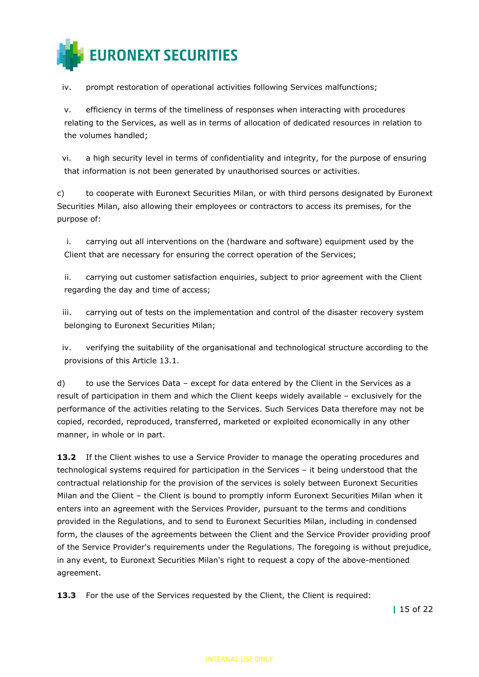

iv. prompt restoration of operational activities following Services malfunctions;

v. efficiency in terms of the timeliness of responses when interacting with procedures relating to the Services, as well as in terms of allocation of dedicated resources in relation to the volumes handled;

vi. a high security level in terms of confidentiality and integrity, for the purpose of ensuring that information is not been generated by unauthorised sources or activities.

c) to cooperate with Euronext Securities Milan, or with third persons designated by Euronext Securities Milan, also allowing their employees or contractors to access its premises, for the purpose of:

i. carrying out all interventions on the (hardware and software) equipment used by the Client that are necessary for ensuring the correct operation of the Services;

ii. carrying out customer satisfaction enquiries, subject to prior agreement with the Client regarding the day and time of access;

iii. carrying out of tests on the implementation and control of the disaster recovery system belonging to Euronext Securities Milan;

iv. verifying the suitability of the organisational and technological structure according to the provisions of this Article 13.1.

d) to use the Services Data – except for data entered by the Client in the Services as a result of participation in them and which the Client keeps widely available – exclusively for the performance of the activities relating to the Services. Such Services Data therefore may not be copied, recorded, reproduced, transferred, marketed or exploited economically in any other manner, in whole or in part.

**13.2** If the Client wishes to use a Service Provider to manage the operating procedures and technological systems required for participation in the Services – it being understood that the contractual relationship for the provision of the services is solely between Euronext Securities Milan and the Client – the Client is bound to promptly inform Euronext Securities Milan when it enters into an agreement with the Services Provider, pursuant to the terms and conditions provided in the Regulations, and to send to Euronext Securities Milan, including in condensed form, the clauses of the agreements between the Client and the Service Provider providing proof of the Service Provider's requirements under the Regulations. The foregoing is without prejudice, in any event, to Euronext Securities Milan's right to request a copy of the above-mentioned agreement.

**13.3** For the use of the Services requested by the Client, the Client is required:

| 15 of 22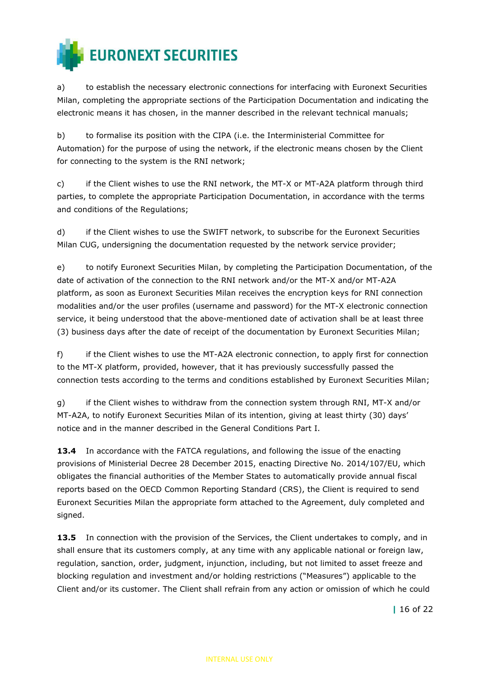

a) to establish the necessary electronic connections for interfacing with Euronext Securities Milan, completing the appropriate sections of the Participation Documentation and indicating the electronic means it has chosen, in the manner described in the relevant technical manuals;

b) to formalise its position with the CIPA (i.e. the Interministerial Committee for Automation) for the purpose of using the network, if the electronic means chosen by the Client for connecting to the system is the RNI network;

c) if the Client wishes to use the RNI network, the MT-X or MT-A2A platform through third parties, to complete the appropriate Participation Documentation, in accordance with the terms and conditions of the Regulations;

d) if the Client wishes to use the SWIFT network, to subscribe for the Euronext Securities Milan CUG, undersigning the documentation requested by the network service provider;

e) to notify Euronext Securities Milan, by completing the Participation Documentation, of the date of activation of the connection to the RNI network and/or the MT-X and/or MT-A2A platform, as soon as Euronext Securities Milan receives the encryption keys for RNI connection modalities and/or the user profiles (username and password) for the MT-X electronic connection service, it being understood that the above-mentioned date of activation shall be at least three (3) business days after the date of receipt of the documentation by Euronext Securities Milan;

f) if the Client wishes to use the MT-A2A electronic connection, to apply first for connection to the MT-X platform, provided, however, that it has previously successfully passed the connection tests according to the terms and conditions established by Euronext Securities Milan;

g) if the Client wishes to withdraw from the connection system through RNI, MT-X and/or MT-A2A, to notify Euronext Securities Milan of its intention, giving at least thirty (30) days' notice and in the manner described in the General Conditions Part I.

**13.4** In accordance with the FATCA regulations, and following the issue of the enacting provisions of Ministerial Decree 28 December 2015, enacting Directive No. 2014/107/EU, which obligates the financial authorities of the Member States to automatically provide annual fiscal reports based on the OECD Common Reporting Standard (CRS), the Client is required to send Euronext Securities Milan the appropriate form attached to the Agreement, duly completed and signed.

13.5 In connection with the provision of the Services, the Client undertakes to comply, and in shall ensure that its customers comply, at any time with any applicable national or foreign law, regulation, sanction, order, judgment, injunction, including, but not limited to asset freeze and blocking regulation and investment and/or holding restrictions ("Measures") applicable to the Client and/or its customer. The Client shall refrain from any action or omission of which he could

| 16 of 22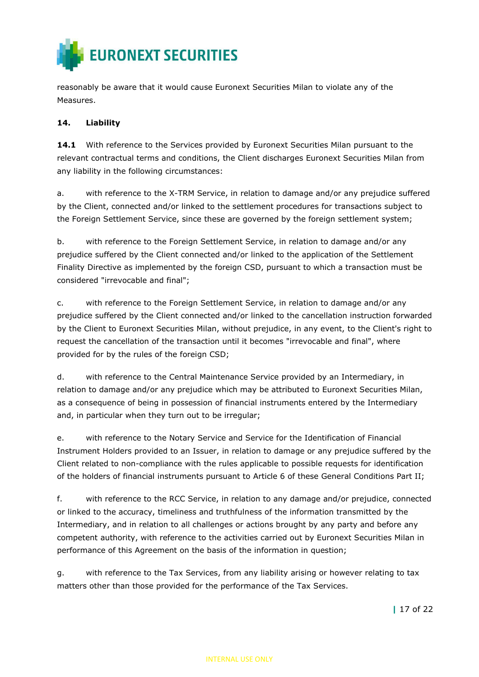

reasonably be aware that it would cause Euronext Securities Milan to violate any of the Measures.

### 14. Liability

14.1 With reference to the Services provided by Euronext Securities Milan pursuant to the relevant contractual terms and conditions, the Client discharges Euronext Securities Milan from any liability in the following circumstances:

a. with reference to the X-TRM Service, in relation to damage and/or any prejudice suffered by the Client, connected and/or linked to the settlement procedures for transactions subject to the Foreign Settlement Service, since these are governed by the foreign settlement system;

b. with reference to the Foreign Settlement Service, in relation to damage and/or any prejudice suffered by the Client connected and/or linked to the application of the Settlement Finality Directive as implemented by the foreign CSD, pursuant to which a transaction must be considered "irrevocable and final";

c. with reference to the Foreign Settlement Service, in relation to damage and/or any prejudice suffered by the Client connected and/or linked to the cancellation instruction forwarded by the Client to Euronext Securities Milan, without prejudice, in any event, to the Client's right to request the cancellation of the transaction until it becomes "irrevocable and final", where provided for by the rules of the foreign CSD;

d. with reference to the Central Maintenance Service provided by an Intermediary, in relation to damage and/or any prejudice which may be attributed to Euronext Securities Milan, as a consequence of being in possession of financial instruments entered by the Intermediary and, in particular when they turn out to be irregular;

e. with reference to the Notary Service and Service for the Identification of Financial Instrument Holders provided to an Issuer, in relation to damage or any prejudice suffered by the Client related to non-compliance with the rules applicable to possible requests for identification of the holders of financial instruments pursuant to Article 6 of these General Conditions Part II;

f. with reference to the RCC Service, in relation to any damage and/or prejudice, connected or linked to the accuracy, timeliness and truthfulness of the information transmitted by the Intermediary, and in relation to all challenges or actions brought by any party and before any competent authority, with reference to the activities carried out by Euronext Securities Milan in performance of this Agreement on the basis of the information in question;

g. with reference to the Tax Services, from any liability arising or however relating to tax matters other than those provided for the performance of the Tax Services.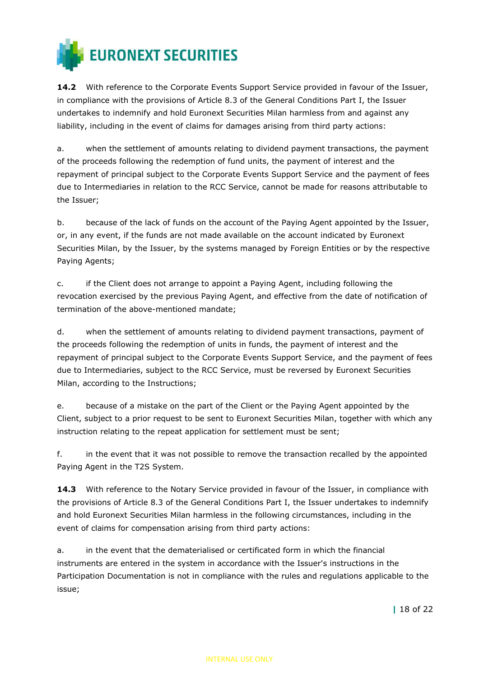

14.2 With reference to the Corporate Events Support Service provided in favour of the Issuer, in compliance with the provisions of Article 8.3 of the General Conditions Part I, the Issuer undertakes to indemnify and hold Euronext Securities Milan harmless from and against any liability, including in the event of claims for damages arising from third party actions:

a. when the settlement of amounts relating to dividend payment transactions, the payment of the proceeds following the redemption of fund units, the payment of interest and the repayment of principal subject to the Corporate Events Support Service and the payment of fees due to Intermediaries in relation to the RCC Service, cannot be made for reasons attributable to the Issuer;

b. because of the lack of funds on the account of the Paying Agent appointed by the Issuer, or, in any event, if the funds are not made available on the account indicated by Euronext Securities Milan, by the Issuer, by the systems managed by Foreign Entities or by the respective Paying Agents;

c. if the Client does not arrange to appoint a Paying Agent, including following the revocation exercised by the previous Paying Agent, and effective from the date of notification of termination of the above-mentioned mandate;

d. when the settlement of amounts relating to dividend payment transactions, payment of the proceeds following the redemption of units in funds, the payment of interest and the repayment of principal subject to the Corporate Events Support Service, and the payment of fees due to Intermediaries, subject to the RCC Service, must be reversed by Euronext Securities Milan, according to the Instructions;

e. because of a mistake on the part of the Client or the Paying Agent appointed by the Client, subject to a prior request to be sent to Euronext Securities Milan, together with which any instruction relating to the repeat application for settlement must be sent;

f. in the event that it was not possible to remove the transaction recalled by the appointed Paying Agent in the T2S System.

14.3 With reference to the Notary Service provided in favour of the Issuer, in compliance with the provisions of Article 8.3 of the General Conditions Part I, the Issuer undertakes to indemnify and hold Euronext Securities Milan harmless in the following circumstances, including in the event of claims for compensation arising from third party actions:

a. in the event that the dematerialised or certificated form in which the financial instruments are entered in the system in accordance with the Issuer's instructions in the Participation Documentation is not in compliance with the rules and regulations applicable to the issue;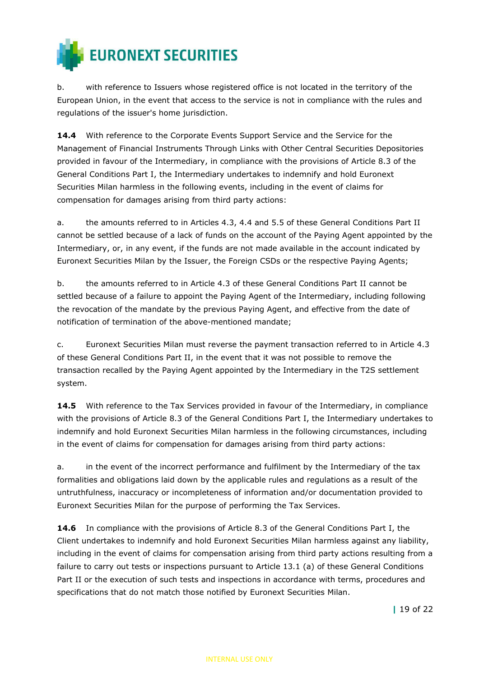

b. with reference to Issuers whose registered office is not located in the territory of the European Union, in the event that access to the service is not in compliance with the rules and regulations of the issuer's home jurisdiction.

14.4 With reference to the Corporate Events Support Service and the Service for the Management of Financial Instruments Through Links with Other Central Securities Depositories provided in favour of the Intermediary, in compliance with the provisions of Article 8.3 of the General Conditions Part I, the Intermediary undertakes to indemnify and hold Euronext Securities Milan harmless in the following events, including in the event of claims for compensation for damages arising from third party actions:

a. the amounts referred to in Articles 4.3, 4.4 and 5.5 of these General Conditions Part II cannot be settled because of a lack of funds on the account of the Paying Agent appointed by the Intermediary, or, in any event, if the funds are not made available in the account indicated by Euronext Securities Milan by the Issuer, the Foreign CSDs or the respective Paying Agents;

b. the amounts referred to in Article 4.3 of these General Conditions Part II cannot be settled because of a failure to appoint the Paying Agent of the Intermediary, including following the revocation of the mandate by the previous Paying Agent, and effective from the date of notification of termination of the above-mentioned mandate;

c. Euronext Securities Milan must reverse the payment transaction referred to in Article 4.3 of these General Conditions Part II, in the event that it was not possible to remove the transaction recalled by the Paying Agent appointed by the Intermediary in the T2S settlement system.

**14.5** With reference to the Tax Services provided in favour of the Intermediary, in compliance with the provisions of Article 8.3 of the General Conditions Part I, the Intermediary undertakes to indemnify and hold Euronext Securities Milan harmless in the following circumstances, including in the event of claims for compensation for damages arising from third party actions:

a. in the event of the incorrect performance and fulfilment by the Intermediary of the tax formalities and obligations laid down by the applicable rules and regulations as a result of the untruthfulness, inaccuracy or incompleteness of information and/or documentation provided to Euronext Securities Milan for the purpose of performing the Tax Services.

14.6 In compliance with the provisions of Article 8.3 of the General Conditions Part I, the Client undertakes to indemnify and hold Euronext Securities Milan harmless against any liability, including in the event of claims for compensation arising from third party actions resulting from a failure to carry out tests or inspections pursuant to Article 13.1 (a) of these General Conditions Part II or the execution of such tests and inspections in accordance with terms, procedures and specifications that do not match those notified by Euronext Securities Milan.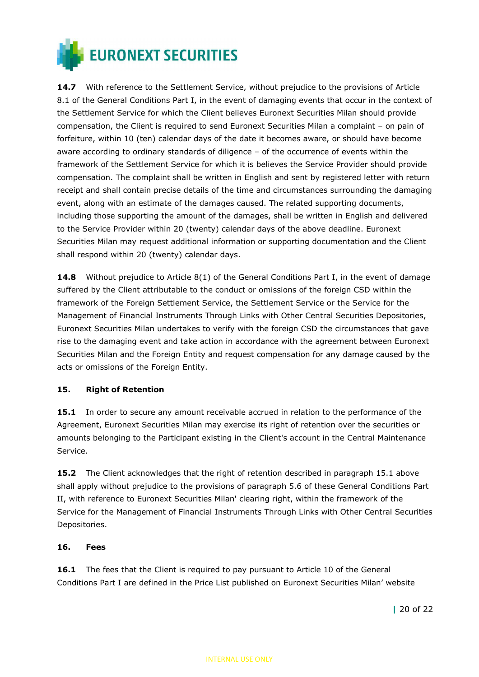

14.7 With reference to the Settlement Service, without prejudice to the provisions of Article 8.1 of the General Conditions Part I, in the event of damaging events that occur in the context of the Settlement Service for which the Client believes Euronext Securities Milan should provide compensation, the Client is required to send Euronext Securities Milan a complaint – on pain of forfeiture, within 10 (ten) calendar days of the date it becomes aware, or should have become aware according to ordinary standards of diligence – of the occurrence of events within the framework of the Settlement Service for which it is believes the Service Provider should provide compensation. The complaint shall be written in English and sent by registered letter with return receipt and shall contain precise details of the time and circumstances surrounding the damaging event, along with an estimate of the damages caused. The related supporting documents, including those supporting the amount of the damages, shall be written in English and delivered to the Service Provider within 20 (twenty) calendar days of the above deadline. Euronext Securities Milan may request additional information or supporting documentation and the Client shall respond within 20 (twenty) calendar days.

**14.8** Without prejudice to Article  $8(1)$  of the General Conditions Part I, in the event of damage suffered by the Client attributable to the conduct or omissions of the foreign CSD within the framework of the Foreign Settlement Service, the Settlement Service or the Service for the Management of Financial Instruments Through Links with Other Central Securities Depositories, Euronext Securities Milan undertakes to verify with the foreign CSD the circumstances that gave rise to the damaging event and take action in accordance with the agreement between Euronext Securities Milan and the Foreign Entity and request compensation for any damage caused by the acts or omissions of the Foreign Entity.

#### 15. Right of Retention

**15.1** In order to secure any amount receivable accrued in relation to the performance of the Agreement, Euronext Securities Milan may exercise its right of retention over the securities or amounts belonging to the Participant existing in the Client's account in the Central Maintenance Service.

**15.2** The Client acknowledges that the right of retention described in paragraph 15.1 above shall apply without prejudice to the provisions of paragraph 5.6 of these General Conditions Part II, with reference to Euronext Securities Milan' clearing right, within the framework of the Service for the Management of Financial Instruments Through Links with Other Central Securities Depositories.

#### 16. Fees

16.1 The fees that the Client is required to pay pursuant to Article 10 of the General Conditions Part I are defined in the Price List published on Euronext Securities Milan' website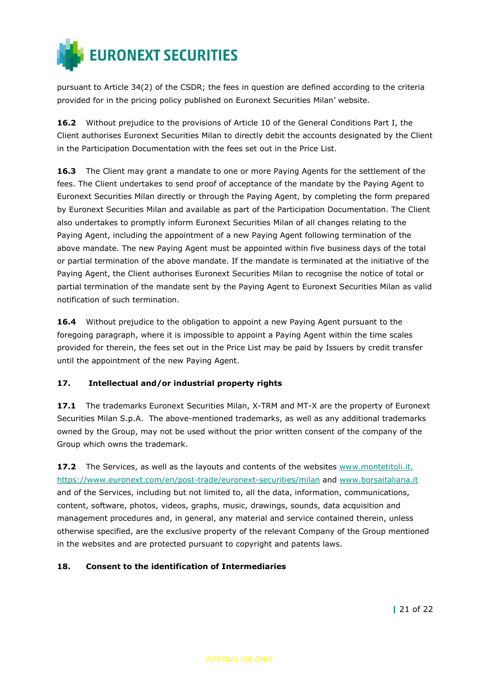

pursuant to Article 34(2) of the CSDR; the fees in question are defined according to the criteria provided for in the pricing policy published on Euronext Securities Milan' website.

16.2 Without prejudice to the provisions of Article 10 of the General Conditions Part I, the Client authorises Euronext Securities Milan to directly debit the accounts designated by the Client in the Participation Documentation with the fees set out in the Price List.

16.3 The Client may grant a mandate to one or more Paying Agents for the settlement of the fees. The Client undertakes to send proof of acceptance of the mandate by the Paying Agent to Euronext Securities Milan directly or through the Paying Agent, by completing the form prepared by Euronext Securities Milan and available as part of the Participation Documentation. The Client also undertakes to promptly inform Euronext Securities Milan of all changes relating to the Paying Agent, including the appointment of a new Paying Agent following termination of the above mandate. The new Paying Agent must be appointed within five business days of the total or partial termination of the above mandate. If the mandate is terminated at the initiative of the Paying Agent, the Client authorises Euronext Securities Milan to recognise the notice of total or partial termination of the mandate sent by the Paying Agent to Euronext Securities Milan as valid notification of such termination.

16.4 Without prejudice to the obligation to appoint a new Paying Agent pursuant to the foregoing paragraph, where it is impossible to appoint a Paying Agent within the time scales provided for therein, the fees set out in the Price List may be paid by Issuers by credit transfer until the appointment of the new Paying Agent.

#### 17. Intellectual and/or industrial property rights

17.1 The trademarks Euronext Securities Milan, X-TRM and MT-X are the property of Euronext Securities Milan S.p.A. The above-mentioned trademarks, as well as any additional trademarks owned by the Group, may not be used without the prior written consent of the company of the Group which owns the trademark.

**17.2** The Services, as well as the layouts and contents of the websites www.montetitoli.it, https://www.euronext.com/en/post-trade/euronext-securities/milan and www.borsaitaliana.it and of the Services, including but not limited to, all the data, information, communications, content, software, photos, videos, graphs, music, drawings, sounds, data acquisition and management procedures and, in general, any material and service contained therein, unless otherwise specified, are the exclusive property of the relevant Company of the Group mentioned in the websites and are protected pursuant to copyright and patents laws.

#### 18. Consent to the identification of Intermediaries